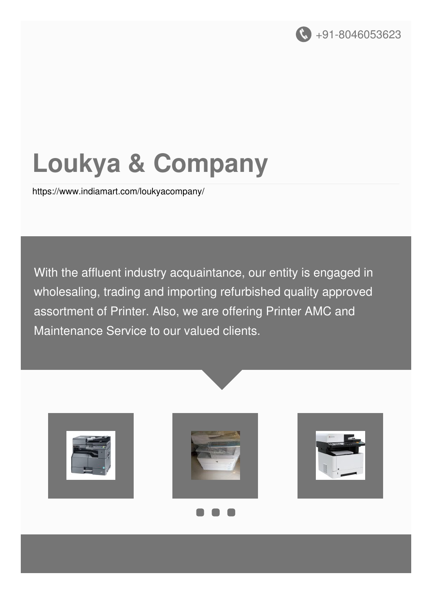

# **Loukya & Company**

<https://www.indiamart.com/loukyacompany/>

With the affluent industry acquaintance, our entity is engaged in wholesaling, trading and importing refurbished quality approved assortment of Printer. Also, we are offering Printer AMC and Maintenance Service to our valued clients.







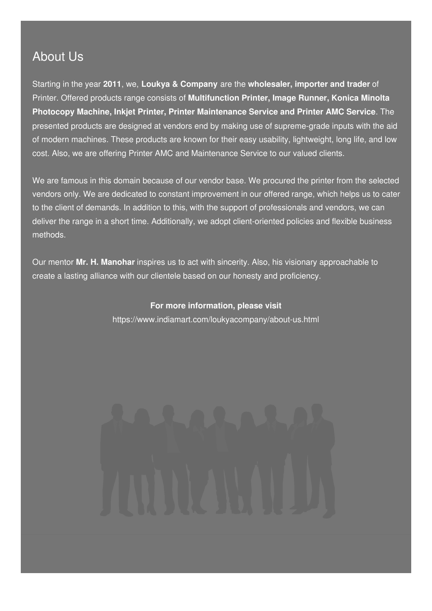# About Us

Starting in the year **2011**, we, **Loukya & Company** are the **wholesaler, importer and trader** of Printer. Offered products range consists of **Multifunction Printer, Image Runner, Konica Minolta Photocopy Machine, Inkjet Printer, Printer Maintenance Service and Printer AMC Service**. The presented products are designed at vendors end by making use of supreme-grade inputs with the aid of modern machines. These products are known for their easy usability, lightweight, long life, and low cost. Also, we are offering Printer AMC and Maintenance Service to our valued clients.

We are famous in this domain because of our vendor base. We procured the printer from the selected vendors only. We are dedicated to constant improvement in our offered range, which helps us to cater to the client of demands. In addition to this, with the support of professionals and vendors, we can deliver the range in a short time. Additionally, we adopt client-oriented policies and flexible business methods.

Our mentor **Mr. H. Manohar** inspires us to act with sincerity. Also, his visionary approachable to create a lasting alliance with our clientele based on our honesty and proficiency.

#### **For more information, please visit**

<https://www.indiamart.com/loukyacompany/about-us.html>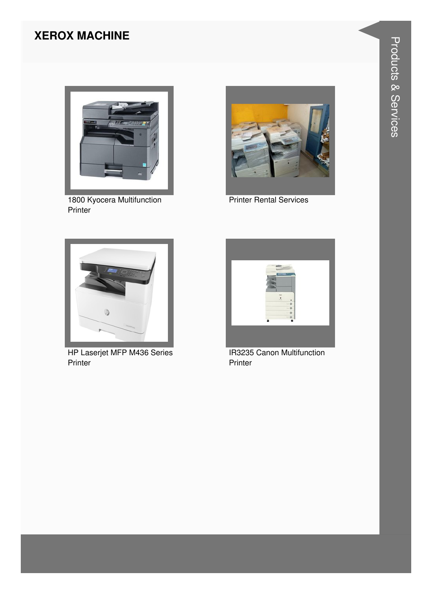# **XEROX MACHINE**



1800 Kyocera Multifunction Printer



Printer Rental Services



HP Laserjet MFP M436 Series Printer



IR3235 Canon Multifunction Printer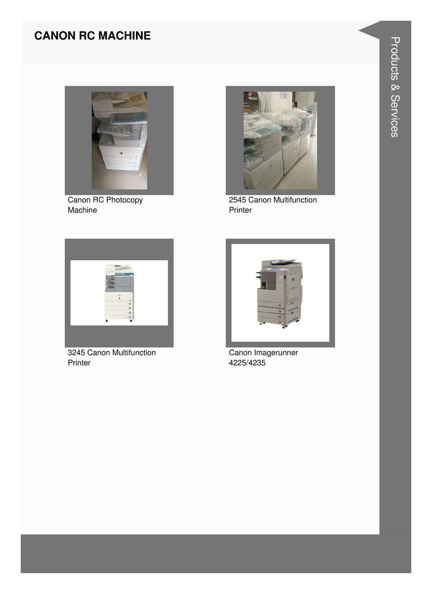# **CANON RC MACHINE**



Canon RC Photocopy Machine



2545 Canon Multifunction Printer



3245 Canon Multifunction Printer



Canon Imagerunner 4225/4235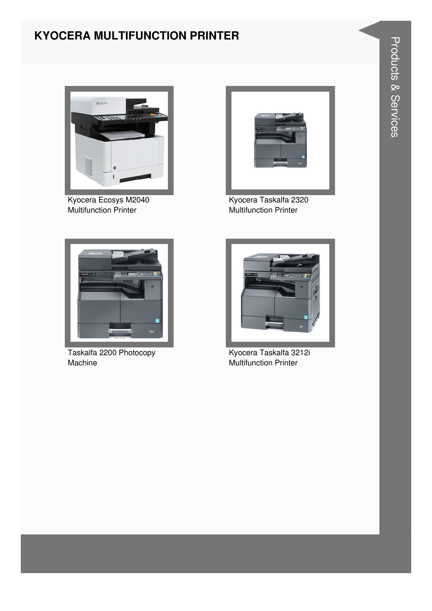# **KYOCERA MULTIFUNCTION PRINTER**



Kyocera Ecosys M2040 Multifunction Printer



Kyocera Taskalfa 2320 Multifunction Printer



Taskalfa 2200 Photocopy Machine



Kyocera Taskalfa 3212i Multifunction Printer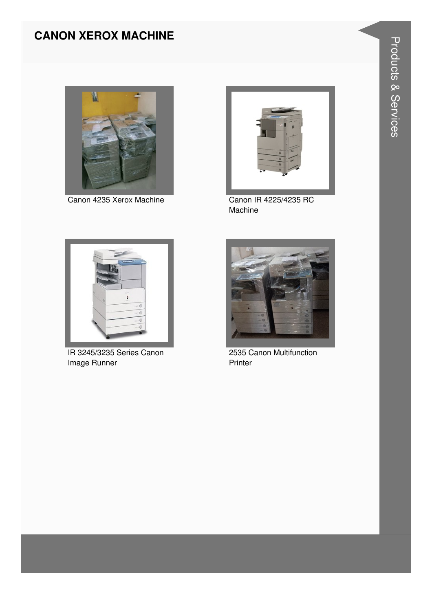# **CANON XEROX MACHINE**



Canon 4235 Xerox Machine Canon IR 4225/4235 RC



Machine



IR 3245/3235 Series Canon Image Runner



2535 Canon Multifunction Printer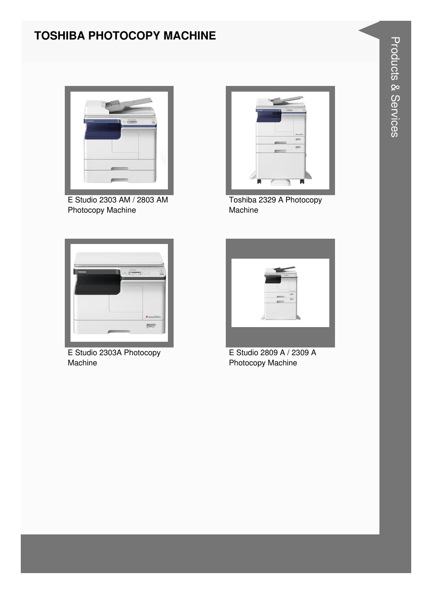# **TOSHIBA PHOTOCOPY MACHINE**



E Studio 2303 AM / 2803 AM Photocopy Machine



Toshiba 2329 A Photocopy Machine



E Studio 2303A Photocopy Machine



E Studio 2809 A / 2309 A Photocopy Machine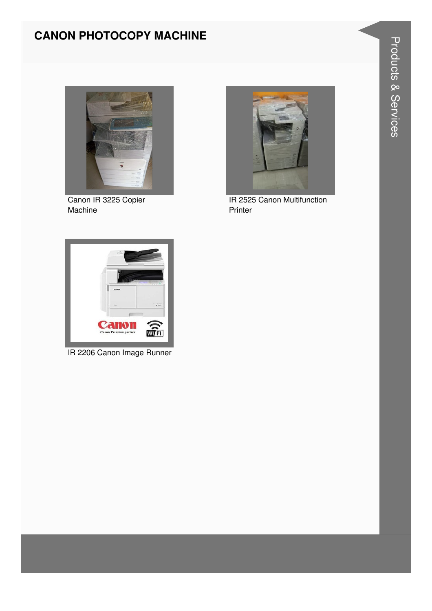# **CANON PHOTOCOPY MACHINE**



Canon IR 3225 Copier Machine



IR 2525 Canon Multifunction Printer



IR 2206 Canon Image Runner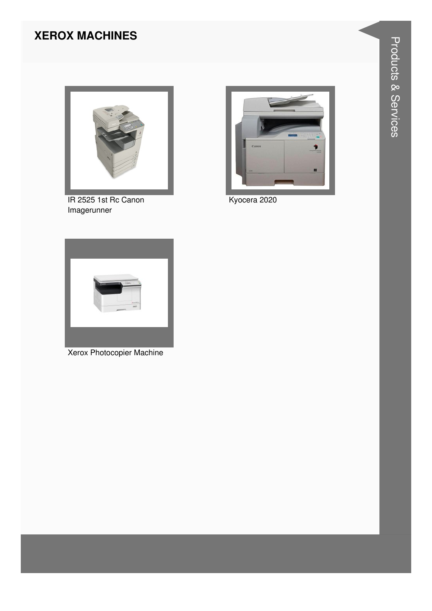# **XEROX MACHINES**



IR 2525 1st Rc Canon Imagerunner



Kyocera 2020



**Xerox Photocopier Machine**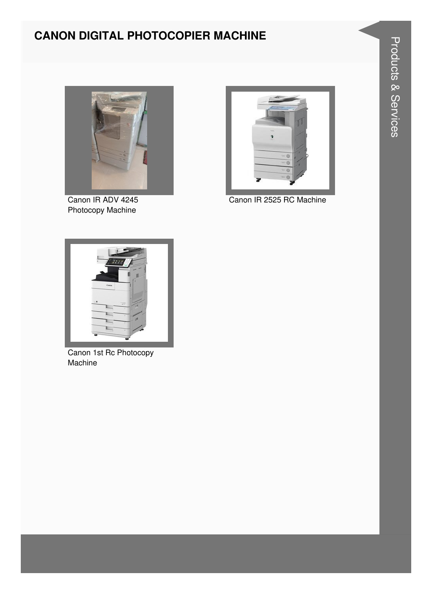# **CANON DIGITAL PHOTOCOPIER MACHINE**



Canon IR ADV 4245 Photocopy Machine



Canon IR 2525 RC Machine



Canon 1st Rc Photocopy Machine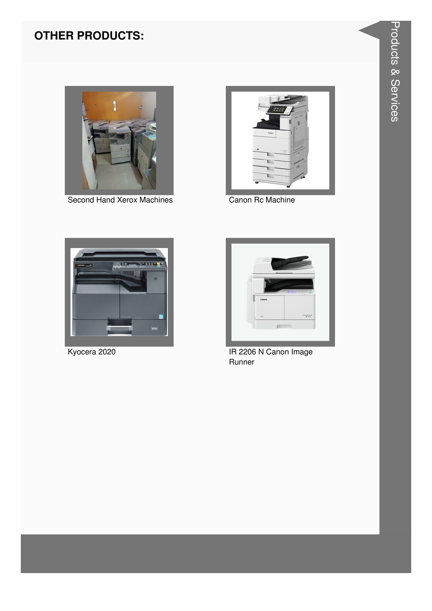

Second Hand Xerox Machines



Canon Rc Machine



Kyocera 2020



IR 2206 N Canon Image Runner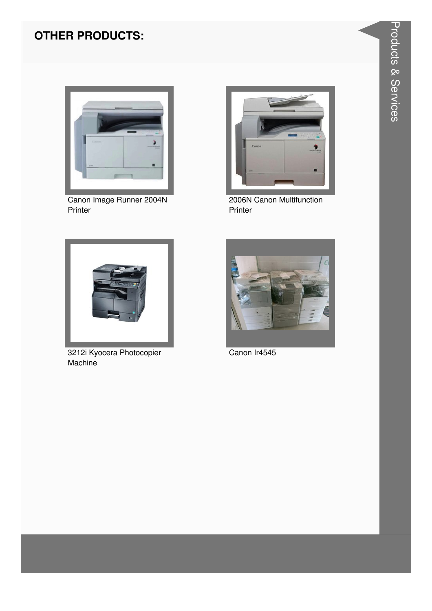

Canon Image Runner 2004N<br>Printer



2006N Canon Multifunction Printer



3212i Kyocera Photocopier Machine



Canon Ir4545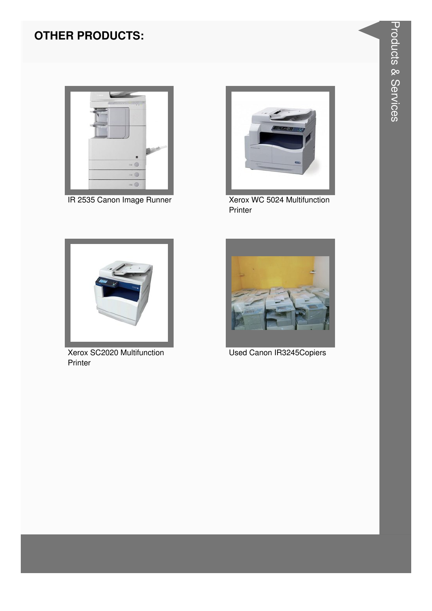

IR 2535 Canon Image Runner



Xerox WC 5024 Multifunction Printer



Xerox SC2020 Multifunction Printer



**Used Canon IR3245Copiers**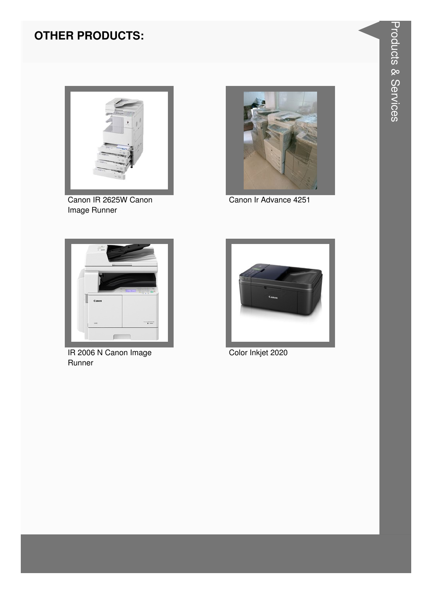

Canon IR 2625W Canon Image Runner



Canon Ir Advance 4251



IR 2006 N Canon Image Runner



Color Inkjet 2020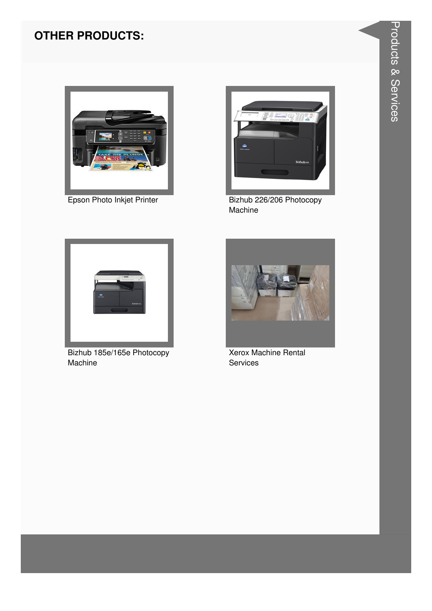

Epson Photo Inkjet Printer



Bizhub 226/206 Photocopy Machine



Bizhub 185e/165e Photocopy Machine



**Xerox Machine Rental** Services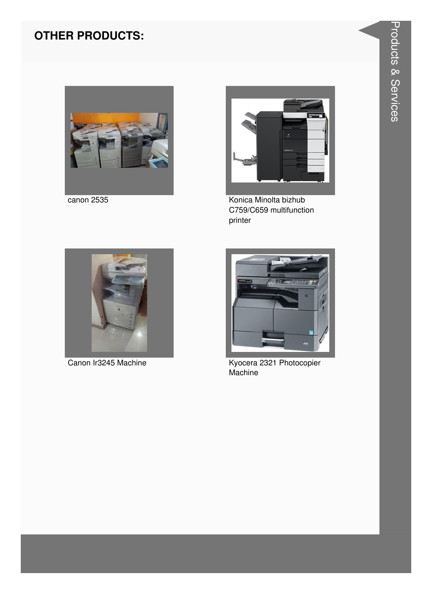



canon 2535 Konica Minolta bizhub C759/C659 multifunction printer





Canon Ir3245 Machine Kyocera 2321 Photocopier **Machine**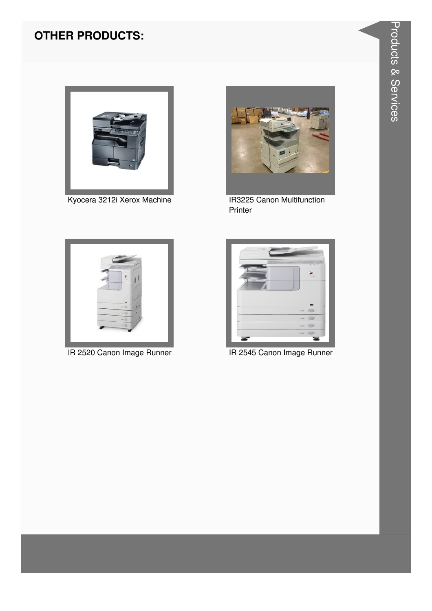

Kyocera 3212i Xerox Machine



**IR3225 Canon Multifunction** Printer



IR 2520 Canon Image Runner



IR 2545 Canon Image Runner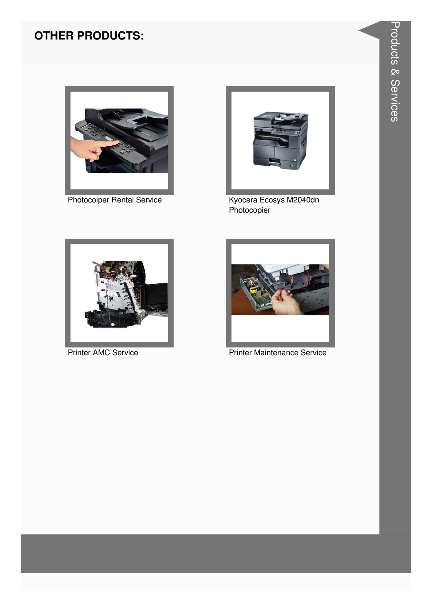

**Photocoiper Rental Service** 



Kyocera Ecosys M2040dn<br>Photocopier



**Printer AMC Service** 



**Printer Maintenance Service**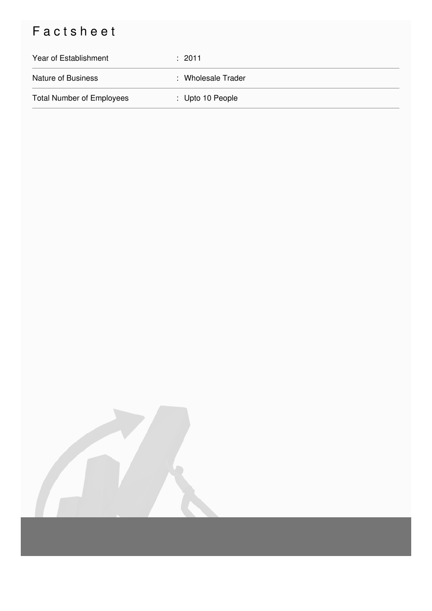# Factsheet

| Year of Establishment            | : 2011             |
|----------------------------------|--------------------|
| <b>Nature of Business</b>        | : Wholesale Trader |
| <b>Total Number of Employees</b> | : Upto 10 People   |